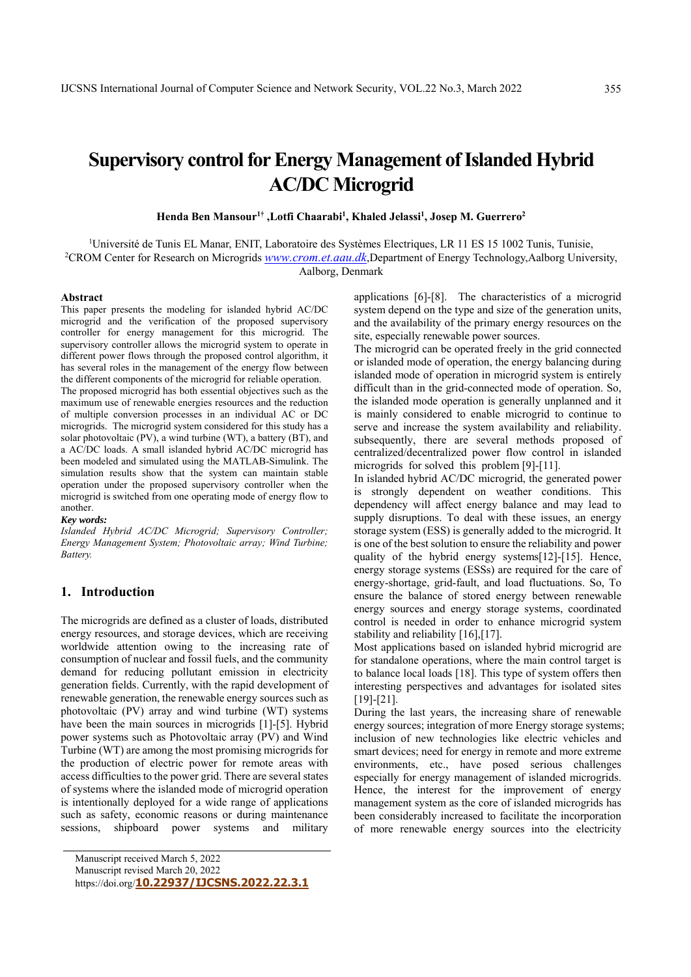# **Supervisory control for Energy Management of Islanded Hybrid AC/DC Microgrid**

**Henda Ben Mansour1† ,Lotfi Chaarabi1 , Khaled Jelassi1 , Josep M. Guerrero2**

<sup>1</sup>Université de Tunis EL Manar, ENIT, Laboratoire des Systèmes Electriques, LR 11 ES 15 1002 Tunis, Tunisie, <sup>2</sup>CROM Center for Besearch on Microgrids www.crom.et agu dk Department of Energy Technology Aalborg Unive <sup>2</sup>CROM Center for Research on Microgrids *www.crom.et.aau.dk*,Department of Energy Technology,Aalborg University, Aalborg, Denmark

# **Abstract**

This paper presents the modeling for islanded hybrid AC/DC microgrid and the verification of the proposed supervisory controller for energy management for this microgrid. The supervisory controller allows the microgrid system to operate in different power flows through the proposed control algorithm, it has several roles in the management of the energy flow between the different components of the microgrid for reliable operation.

The proposed microgrid has both essential objectives such as the maximum use of renewable energies resources and the reduction of multiple conversion processes in an individual AC or DC microgrids. The microgrid system considered for this study has a solar photovoltaic (PV), a wind turbine (WT), a battery (BT), and a AC/DC loads. A small islanded hybrid AC/DC microgrid has been modeled and simulated using the MATLAB-Simulink. The simulation results show that the system can maintain stable operation under the proposed supervisory controller when the microgrid is switched from one operating mode of energy flow to another.

#### *Key words:*

*Islanded Hybrid AC/DC Microgrid; Supervisory Controller; Energy Management System; Photovoltaic array; Wind Turbine; Battery.* 

# **1. Introduction**

The microgrids are defined as a cluster of loads, distributed energy resources, and storage devices, which are receiving worldwide attention owing to the increasing rate of consumption of nuclear and fossil fuels, and the community demand for reducing pollutant emission in electricity generation fields. Currently, with the rapid development of renewable generation, the renewable energy sources such as photovoltaic (PV) array and wind turbine (WT) systems have been the main sources in microgrids [1]-[5]. Hybrid power systems such as Photovoltaic array (PV) and Wind Turbine (WT) are among the most promising microgrids for the production of electric power for remote areas with access difficulties to the power grid. There are several states of systems where the islanded mode of microgrid operation is intentionally deployed for a wide range of applications such as safety, economic reasons or during maintenance sessions, shipboard power systems and military

Manuscript revised March 20, 2022

https://doi.org/**10.22937/IJCSNS.2022.22.3.1**

applications [6]-[8]. The characteristics of a microgrid system depend on the type and size of the generation units, and the availability of the primary energy resources on the site, especially renewable power sources.

The microgrid can be operated freely in the grid connected or islanded mode of operation, the energy balancing during islanded mode of operation in microgrid system is entirely difficult than in the grid-connected mode of operation. So, the islanded mode operation is generally unplanned and it is mainly considered to enable microgrid to continue to serve and increase the system availability and reliability. subsequently, there are several methods proposed of centralized/decentralized power flow control in islanded microgrids for solved this problem [9]-[11].

In islanded hybrid AC/DC microgrid, the generated power is strongly dependent on weather conditions. This dependency will affect energy balance and may lead to supply disruptions. To deal with these issues, an energy storage system (ESS) is generally added to the microgrid. It is one of the best solution to ensure the reliability and power quality of the hybrid energy systems[12]-[15]. Hence, energy storage systems (ESSs) are required for the care of energy-shortage, grid-fault, and load fluctuations. So, To ensure the balance of stored energy between renewable energy sources and energy storage systems, coordinated control is needed in order to enhance microgrid system stability and reliability [16],[17].

Most applications based on islanded hybrid microgrid are for standalone operations, where the main control target is to balance local loads [18]. This type of system offers then interesting perspectives and advantages for isolated sites [19]-[21].

During the last years, the increasing share of renewable energy sources; integration of more Energy storage systems; inclusion of new technologies like electric vehicles and smart devices; need for energy in remote and more extreme environments, etc., have posed serious challenges especially for energy management of islanded microgrids. Hence, the interest for the improvement of energy management system as the core of islanded microgrids has been considerably increased to facilitate the incorporation of more renewable energy sources into the electricity

Manuscript received March 5, 2022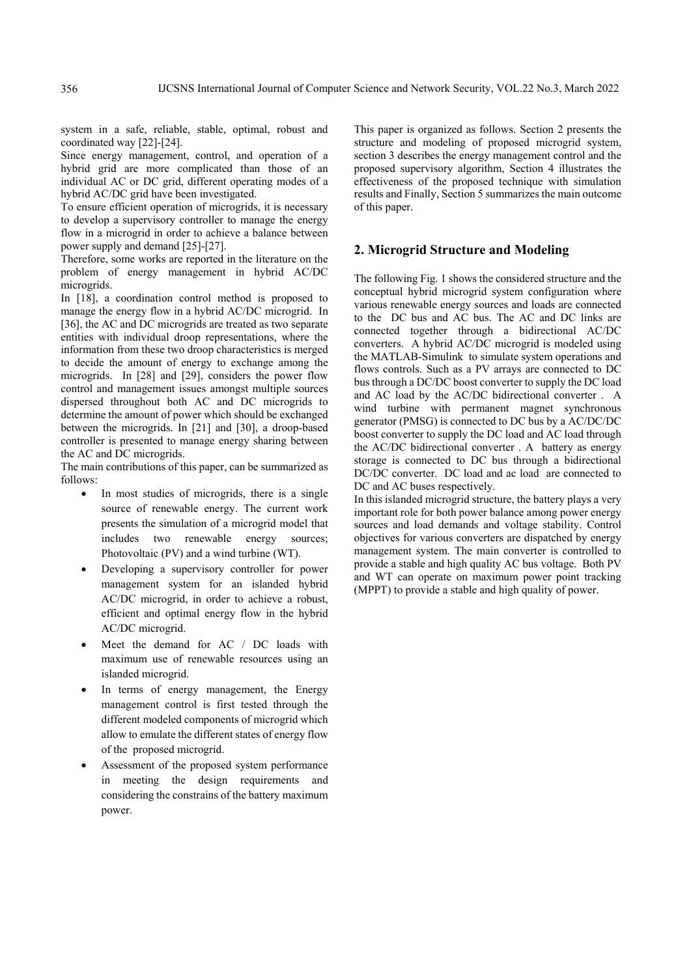system in a safe, reliable, stable, optimal, robust and coordinated way [22]-[24].

Since energy management, control, and operation of a hybrid grid are more complicated than those of an individual AC or DC grid, different operating modes of a hybrid AC/DC grid have been investigated.

To ensure efficient operation of microgrids, it is necessary to develop a supervisory controller to manage the energy flow in a microgrid in order to achieve a balance between power supply and demand [25]-[27].

Therefore, some works are reported in the literature on the problem of energy management in hybrid AC/DC microgrids.

In [18], a coordination control method is proposed to manage the energy flow in a hybrid AC/DC microgrid. In [36], the AC and DC microgrids are treated as two separate entities with individual droop representations, where the information from these two droop characteristics is merged to decide the amount of energy to exchange among the microgrids. In [28] and [29], considers the power flow control and management issues amongst multiple sources dispersed throughout both AC and DC microgrids to determine the amount of power which should be exchanged between the microgrids. In [21] and [30], a droop-based controller is presented to manage energy sharing between the AC and DC microgrids.

The main contributions of this paper, can be summarized as follows:

- In most studies of microgrids, there is a single source of renewable energy. The current work presents the simulation of a microgrid model that includes two renewable energy sources; Photovoltaic (PV) and a wind turbine (WT).
- Developing a supervisory controller for power management system for an islanded hybrid AC/DC microgrid, in order to achieve a robust, efficient and optimal energy flow in the hybrid AC/DC microgrid.
- Meet the demand for AC / DC loads with maximum use of renewable resources using an islanded microgrid.
- In terms of energy management, the Energy management control is first tested through the different modeled components of microgrid which allow to emulate the different states of energy flow of the proposed microgrid.
- Assessment of the proposed system performance in meeting the design requirements and considering the constrains of the battery maximum power.

This paper is organized as follows. Section 2 presents the structure and modeling of proposed microgrid system, section 3 describes the energy management control and the proposed supervisory algorithm, Section 4 illustrates the effectiveness of the proposed technique with simulation results and Finally, Section 5 summarizes the main outcome of this paper.

# **2. Microgrid Structure and Modeling**

The following Fig. 1 shows the considered structure and the conceptual hybrid microgrid system configuration where various renewable energy sources and loads are connected to the DC bus and AC bus. The AC and DC links are connected together through a bidirectional AC/DC converters. A hybrid AC/DC microgrid is modeled using the MATLAB-Simulink to simulate system operations and flows controls. Such as a PV arrays are connected to DC bus through a DC/DC boost converter to supply the DC load and AC load by the AC/DC bidirectional converter . A wind turbine with permanent magnet synchronous generator (PMSG) is connected to DC bus by a AC/DC/DC boost converter to supply the DC load and AC load through the AC/DC bidirectional converter . A battery as energy storage is connected to DC bus through a bidirectional DC/DC converter. DC load and ac load are connected to DC and AC buses respectively.

In this islanded microgrid structure, the battery plays a very important role for both power balance among power energy sources and load demands and voltage stability. Control objectives for various converters are dispatched by energy management system. The main converter is controlled to provide a stable and high quality AC bus voltage. Both PV and WT can operate on maximum power point tracking (MPPT) to provide a stable and high quality of power.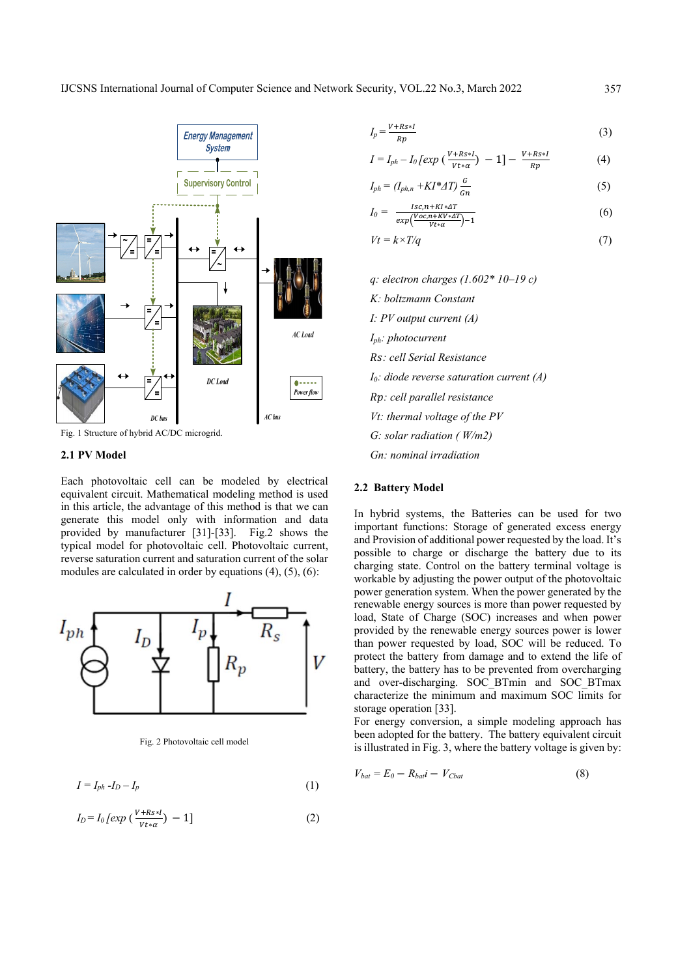

Fig. 1 Structure of hybrid AC/DC microgrid.

## **2.1 PV Model**

Each photovoltaic cell can be modeled by electrical equivalent circuit. Mathematical modeling method is used in this article, the advantage of this method is that we can generate this model only with information and data provided by manufacturer [31]-[33]. Fig.2 shows the typical model for photovoltaic cell. Photovoltaic current, reverse saturation current and saturation current of the solar modules are calculated in order by equations (4), (5), (6):



Fig. 2 Photovoltaic cell model

$$
I = I_{ph} - I_D - I_p \tag{1}
$$

$$
I_D = I_0 \left[ exp \left( \frac{V + Rs * l}{V t * a} \right) - 1 \right] \tag{2}
$$

$$
I_p = \frac{V + Rs * I}{Rp} \tag{3}
$$

$$
I = I_{ph} - I_0 \left[ exp \left( \frac{V + Rs * I}{V t * \alpha} \right) - 1 \right] - \frac{V + Rs * I}{Rp}
$$
 (4)

$$
I_{ph} = (I_{ph,n} + K I^* A T) \frac{G}{Gn}
$$
 (5)

$$
I_0 = \frac{Isc, n + KI * \Delta T}{exp(\frac{Voc, n + KV * \Delta T}{Vt * \alpha}) - 1}
$$
(6)

$$
Vt = k \times T/q \tag{7}
$$

*q: electron charges (1.602\* 10–19 c) K: boltzmann Constant I: PV output current (A) Iph: photocurrent : cell Serial Resistance I0: diode reverse saturation current (A) : cell parallel resistance Vt: thermal voltage of the PV G: solar radiation ( W/m2) Gn: nominal irradiation* 

# **2.2 Battery Model**

In hybrid systems, the Batteries can be used for two important functions: Storage of generated excess energy and Provision of additional power requested by the load. It's possible to charge or discharge the battery due to its charging state. Control on the battery terminal voltage is workable by adjusting the power output of the photovoltaic power generation system. When the power generated by the renewable energy sources is more than power requested by load, State of Charge (SOC) increases and when power provided by the renewable energy sources power is lower than power requested by load, SOC will be reduced. To protect the battery from damage and to extend the life of battery, the battery has to be prevented from overcharging and over-discharging. SOC\_BTmin and SOC\_BTmax characterize the minimum and maximum SOC limits for storage operation [33].

For energy conversion, a simple modeling approach has been adopted for the battery. The battery equivalent circuit is illustrated in Fig. 3, where the battery voltage is given by:

$$
V_{bat} = E_0 - R_{bail} - V_{Cbat} \tag{8}
$$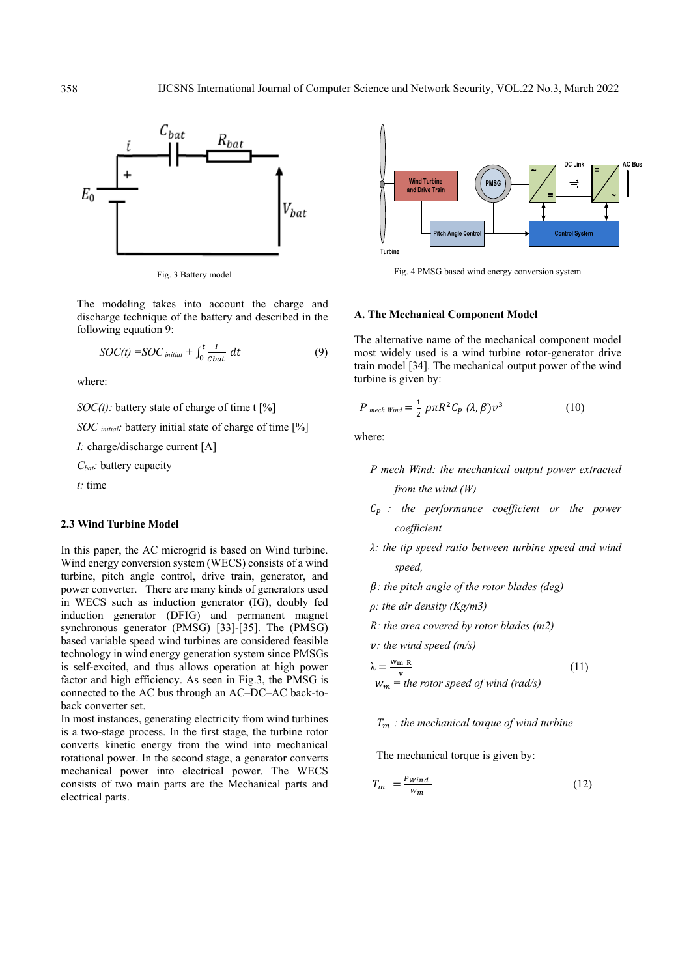

Fig. 3 Battery model

The modeling takes into account the charge and discharge technique of the battery and described in the following equation 9:

$$
SOC(t) = SOC_{initial} + \int_0^t \frac{1}{\text{c}bat} dt
$$
 (9)

where:

*SOC(t)*: battery state of charge of time t [%]

*SOC initial:* battery initial state of charge of time [%]

*I:* charge/discharge current [A]

*Cbat:* battery capacity

*t:* time

#### **2.3 Wind Turbine Model**

In this paper, the AC microgrid is based on Wind turbine. Wind energy conversion system (WECS) consists of a wind turbine, pitch angle control, drive train, generator, and power converter. There are many kinds of generators used in WECS such as induction generator (IG), doubly fed induction generator (DFIG) and permanent magnet synchronous generator (PMSG) [33]-[35]. The (PMSG) based variable speed wind turbines are considered feasible technology in wind energy generation system since PMSGs is self-excited, and thus allows operation at high power factor and high efficiency. As seen in Fig.3, the PMSG is connected to the AC bus through an AC–DC–AC back-toback converter set.

In most instances, generating electricity from wind turbines is a two-stage process. In the first stage, the turbine rotor converts kinetic energy from the wind into mechanical rotational power. In the second stage, a generator converts mechanical power into electrical power. The WECS consists of two main parts are the Mechanical parts and electrical parts.



Fig. 4 PMSG based wind energy conversion system

#### **A. The Mechanical Component Model**

The alternative name of the mechanical component model most widely used is a wind turbine rotor-generator drive train model [34]. The mechanical output power of the wind turbine is given by:

$$
P_{\text{mech Wind}} = \frac{1}{2} \rho \pi R^2 C_P (\lambda, \beta) v^3
$$
 (10)

where:

- *P mech Wind: the mechanical output power extracted from the wind (W)*
- *: the performance coefficient or the power coefficient*
- *λ: the tip speed ratio between turbine speed and wind speed,*
- *: the pitch angle of the rotor blades (deg)*
- *ρ: the air density (Kg/m3)*
- *R: the area covered by rotor blades (m2)*

*: the wind speed (m/s)* 

$$
\lambda = \frac{w_{m} R}{v}
$$
  
\n
$$
w_{m} = the rotor speed of wind (rad/s)
$$
\n(11)

# *: the mechanical torque of wind turbine*

The mechanical torque is given by:

$$
T_m = \frac{P_{Wind}}{w_m} \tag{12}
$$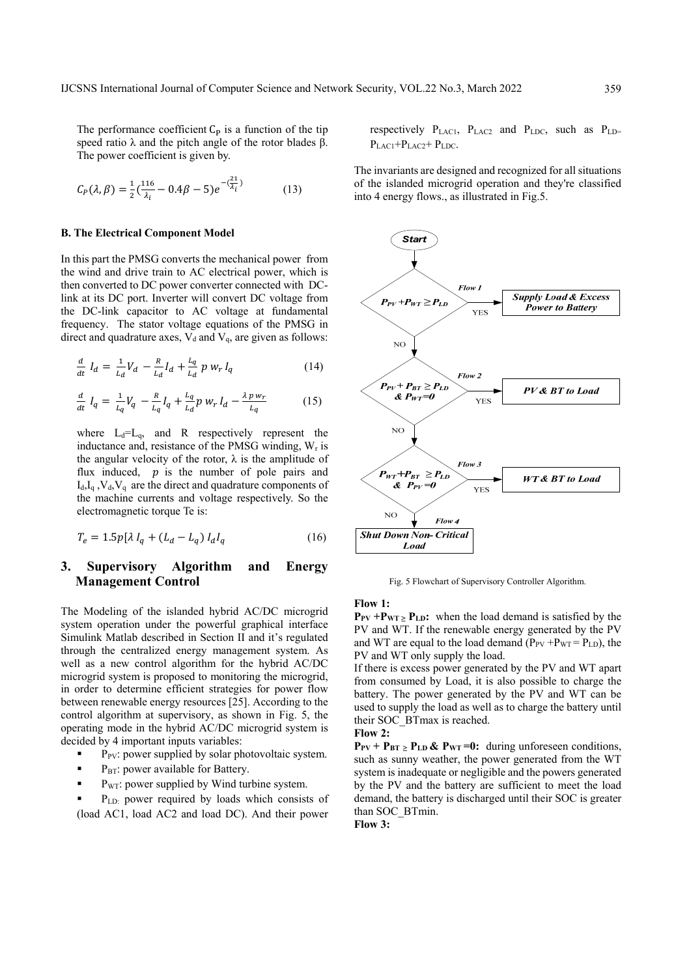The performance coefficient  $C_P$  is a function of the tip speed ratio  $\lambda$  and the pitch angle of the rotor blades β. The power coefficient is given by.

$$
C_P(\lambda, \beta) = \frac{1}{2} \left( \frac{116}{\lambda_i} - 0.4\beta - 5 \right) e^{-\left( \frac{21}{\lambda_i} \right)} \tag{13}
$$

#### **B. The Electrical Component Model**

In this part the PMSG converts the mechanical power from the wind and drive train to AC electrical power, which is then converted to DC power converter connected with DClink at its DC port. Inverter will convert DC voltage from the DC-link capacitor to AC voltage at fundamental frequency. The stator voltage equations of the PMSG in direct and quadrature axes,  $V_d$  and  $V_q$ , are given as follows:

$$
\frac{d}{dt} I_d = \frac{1}{L_d} V_d - \frac{R}{L_d} I_d + \frac{L_q}{L_d} p w_r I_q \tag{14}
$$

$$
\frac{d}{dt} I_q = \frac{1}{L_q} V_q - \frac{R}{L_q} I_q + \frac{L_q}{L_d} p w_r I_d - \frac{\lambda p w_r}{L_q} \tag{15}
$$

where  $L_d=L_q$ , and R respectively represent the inductance and, resistance of the PMSG winding,  $W_r$  is the angular velocity of the rotor,  $\lambda$  is the amplitude of flux induced,  $p$  is the number of pole pairs and  $I_d, I_d, V_d, V_d$  are the direct and quadrature components of the machine currents and voltage respectively. So the electromagnetic torque Te is:

$$
T_e = 1.5p[\lambda I_q + (L_d - L_q) I_d I_q \tag{16}
$$

# **3. Supervisory Algorithm and Energy Management Control**

The Modeling of the islanded hybrid AC/DC microgrid system operation under the powerful graphical interface Simulink Matlab described in Section II and it's regulated through the centralized energy management system. As well as a new control algorithm for the hybrid AC/DC microgrid system is proposed to monitoring the microgrid, in order to determine efficient strategies for power flow between renewable energy resources [25]. According to the control algorithm at supervisory, as shown in Fig. 5, the operating mode in the hybrid AC/DC microgrid system is decided by 4 important inputs variables:

- $\blacksquare$  P<sub>PV</sub>: power supplied by solar photovoltaic system.
- P<sub>BT</sub>: power available for Battery.
- P<sub>WT</sub>: power supplied by Wind turbine system.

 PLD: power required by loads which consists of (load AC1, load AC2 and load DC). And their power

respectively  $P_{LAC1}$ ,  $P_{LAC2}$  and  $P_{LDC}$ , such as  $P_{LD}$ =  $P_{LAC1}+P_{LAC2}+P_{LDC}$ .

The invariants are designed and recognized for all situations of the islanded microgrid operation and they're classified into 4 energy flows., as illustrated in Fig.5.



Fig. 5 Flowchart of Supervisory Controller Algorithm.

## **Flow 1:**

 $P_{PV}$  + $P_{WT}$   $\ge$   $P_{LD}$ : when the load demand is satisfied by the PV and WT. If the renewable energy generated by the PV and WT are equal to the load demand  $(P_{PV} + P_{WT} = P_{LD})$ , the PV and WT only supply the load.

If there is excess power generated by the PV and WT apart from consumed by Load, it is also possible to charge the battery. The power generated by the PV and WT can be used to supply the load as well as to charge the battery until their SOC\_BTmax is reached.

**Flow 2:** 

 $P_{PV}$  +  $P_{BT}$   $\geq$   $P_{LD}$   $\&$   $P_{WT}$  =0: during unforeseen conditions, such as sunny weather, the power generated from the WT system is inadequate or negligible and the powers generated by the PV and the battery are sufficient to meet the load demand, the battery is discharged until their SOC is greater than SOC\_BTmin.

**Flow 3:**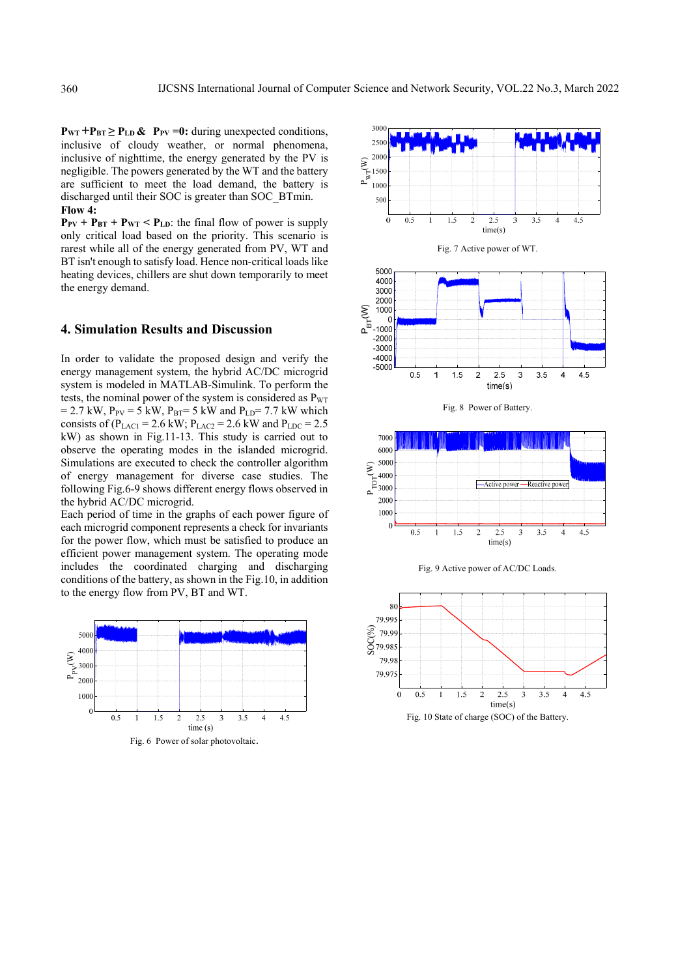$P_{WT}$  + $P_{BT}$   $\ge$   $P_{LD}$  &  $P_{PV}$  =0: during unexpected conditions, inclusive of cloudy weather, or normal phenomena, inclusive of nighttime, the energy generated by the PV is negligible. The powers generated by the WT and the battery are sufficient to meet the load demand, the battery is discharged until their SOC is greater than SOC\_BTmin. **Flow 4:** 

 $P_{PV}$  +  $P_{BT}$  +  $P_{WT}$  <  $P_{LD}$ : the final flow of power is supply only critical load based on the priority. This scenario is rarest while all of the energy generated from PV, WT and BT isn't enough to satisfy load. Hence non-critical loads like heating devices, chillers are shut down temporarily to meet the energy demand.

# **4. Simulation Results and Discussion**

In order to validate the proposed design and verify the energy management system, the hybrid AC/DC microgrid system is modeled in MATLAB-Simulink. To perform the tests, the nominal power of the system is considered as  $P_{\text{WT}}$  $= 2.7$  kW,  $P_{PV} = 5$  kW,  $P_{BT} = 5$  kW and  $P_{LD} = 7.7$  kW which consists of ( $P_{\text{LAC1}}$  = 2.6 kW;  $P_{\text{LAC2}}$  = 2.6 kW and  $P_{\text{LDC}}$  = 2.5 kW) as shown in Fig.11-13. This study is carried out to observe the operating modes in the islanded microgrid. Simulations are executed to check the controller algorithm of energy management for diverse case studies. The following Fig.6-9 shows different energy flows observed in the hybrid AC/DC microgrid.

Each period of time in the graphs of each power figure of each microgrid component represents a check for invariants for the power flow, which must be satisfied to produce an efficient power management system. The operating mode includes the coordinated charging and discharging conditions of the battery, as shown in the Fig.10, in addition to the energy flow from PV, BT and WT.



Fig. 6 Power of solar photovoltaic.

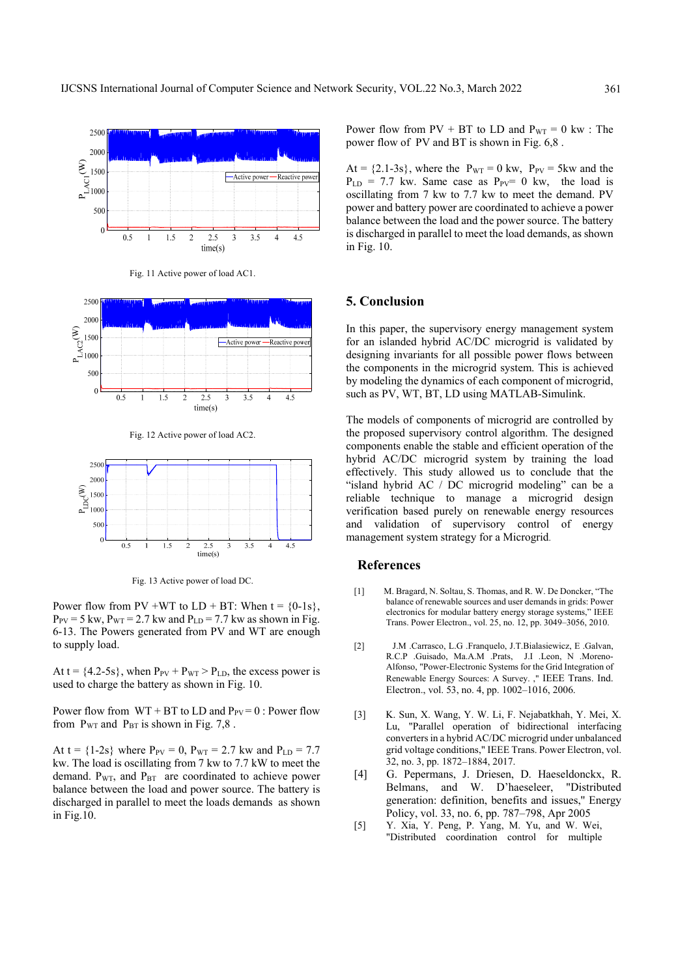

Fig. 11 Active power of load AC1.



Fig. 12 Active power of load AC2.



Fig. 13 Active power of load DC.

Power flow from PV +WT to  $LD + BT$ : When  $t = \{0-1s\}$ ,  $P_{PV}$  = 5 kw,  $P_{WT}$  = 2.7 kw and  $P_{LD}$  = 7.7 kw as shown in Fig. 6-13. The Powers generated from PV and WT are enough to supply load.

At t =  $\{4.2-5s\}$ , when  $P_{PV}$  +  $P_{WT}$  >  $P_{LD}$ , the excess power is used to charge the battery as shown in Fig. 10.

Power flow from  $WT + BT$  to  $LD$  and  $P_{PV} = 0$ : Power flow from  $P_{WT}$  and  $P_{BT}$  is shown in Fig. 7,8.

At t =  ${1-2s}$  where  $P_{PV} = 0$ ,  $P_{WT} = 2.7$  kw and  $P_{LD} = 7.7$ kw. The load is oscillating from 7 kw to 7.7 kW to meet the demand.  $P_{WT}$ , and  $P_{BT}$  are coordinated to achieve power balance between the load and power source. The battery is discharged in parallel to meet the loads demands as shown in Fig.10.

Power flow from  $PV + BT$  to LD and  $P_{WT} = 0$  kw : The power flow of PV and BT is shown in Fig. 6,8 .

At =  $\{2.1-3s\}$ , where the P<sub>WT</sub> = 0 kw, P<sub>PV</sub> = 5kw and the  $P_{LD}$  = 7.7 kw. Same case as  $P_{PV}$ = 0 kw, the load is oscillating from 7 kw to 7.7 kw to meet the demand. PV power and battery power are coordinated to achieve a power balance between the load and the power source. The battery is discharged in parallel to meet the load demands, as shown in Fig. 10.

# **5. Conclusion**

In this paper, the supervisory energy management system for an islanded hybrid AC/DC microgrid is validated by designing invariants for all possible power flows between the components in the microgrid system. This is achieved by modeling the dynamics of each component of microgrid, such as PV, WT, BT, LD using MATLAB-Simulink.

The models of components of microgrid are controlled by the proposed supervisory control algorithm. The designed components enable the stable and efficient operation of the hybrid AC/DC microgrid system by training the load effectively. This study allowed us to conclude that the "island hybrid AC / DC microgrid modeling" can be a reliable technique to manage a microgrid design verification based purely on renewable energy resources and validation of supervisory control of energy management system strategy for a Microgrid.

# **References**

- [1] M. Bragard, N. Soltau, S. Thomas, and R. W. De Doncker, "The balance of renewable sources and user demands in grids: Power electronics for modular battery energy storage systems," IEEE Trans. Power Electron., vol. 25, no. 12, pp. 3049–3056, 2010.
- [2] J.M .Carrasco, L.G .Franquelo, J.T.Bialasiewicz, E .Galvan, R.C.P .Guisado, Ma.A.M .Prats, J.I .Leon, N .Moreno-Alfonso, "Power-Electronic Systems for the Grid Integration of Renewable Energy Sources: A Survey. ," IEEE Trans. Ind. Electron., vol. 53, no. 4, pp. 1002–1016, 2006.
- [3] K. Sun, X. Wang, Y. W. Li, F. Nejabatkhah, Y. Mei, X. Lu, "Parallel operation of bidirectional interfacing converters in a hybrid AC/DC microgrid under unbalanced grid voltage conditions," IEEE Trans. Power Electron, vol. 32, no. 3, pp. 1872–1884, 2017.
- [4] G. Pepermans, J. Driesen, D. Haeseldonckx, R. Belmans, and W. D'haeseleer, "Distributed generation: definition, benefits and issues,'' Energy Policy, vol. 33, no. 6, pp. 787–798, Apr 2005
- [5] Y. Xia, Y. Peng, P. Yang, M. Yu, and W. Wei, "Distributed coordination control for multiple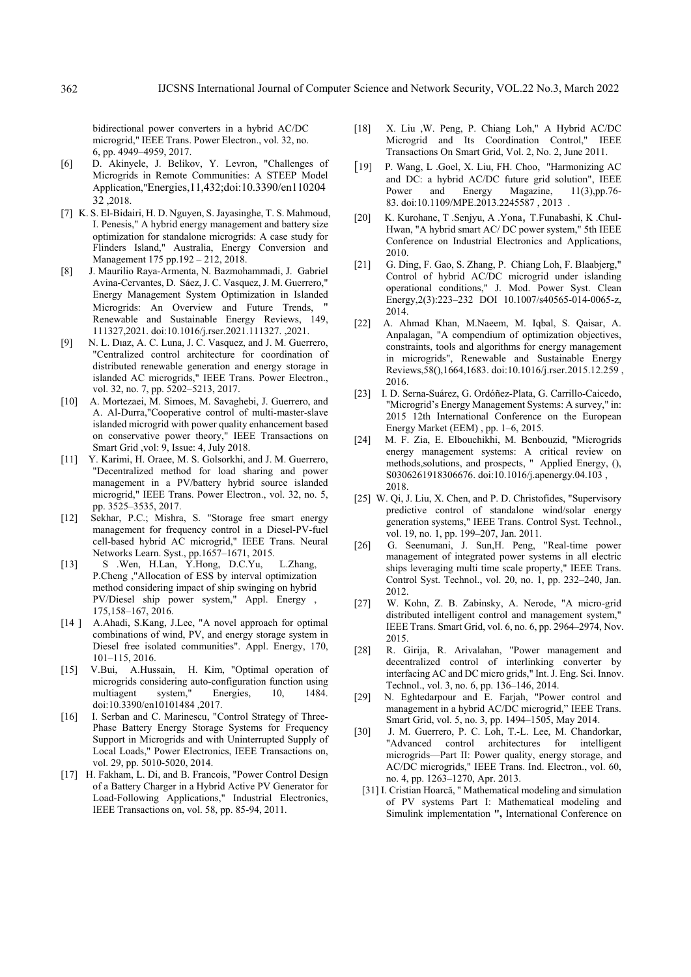bidirectional power converters in a hybrid AC/DC microgrid," IEEE Trans. Power Electron., vol. 32, no. 6, pp. 4949–4959, 2017.

- [6] D. Akinyele, J. Belikov, Y. Levron, "Challenges of Microgrids in Remote Communities: A STEEP Model Application,"Energies,11,432;doi:10.3390/en110204 32 2018
- [7] K. S. El-Bidairi, H. D. Nguyen, S. Jayasinghe, T. S. Mahmoud, I. Penesis," A hybrid energy management and battery size optimization for standalone microgrids: A case study for Flinders Island," Australia, Energy Conversion and Management 175 pp.192 – 212, 2018.
- [8] J. Maurilio Raya-Armenta, N. Bazmohammadi, J. Gabriel Avina-Cervantes, D. Sáez, J. C. Vasquez, J. M. Guerrero," Energy Management System Optimization in Islanded Microgrids: An Overview and Future Trends, Renewable and Sustainable Energy Reviews, 149, 111327,2021. doi:10.1016/j.rser.2021.111327. ,2021.
- [9] N. L. Dıaz, A. C. Luna, J. C. Vasquez, and J. M. Guerrero, "Centralized control architecture for coordination of distributed renewable generation and energy storage in islanded AC microgrids," IEEE Trans. Power Electron., vol. 32, no. 7, pp. 5202–5213, 2017.
- [10] A. Mortezaei, M. Simoes, M. Savaghebi, J. Guerrero, and A. Al-Durra,"Cooperative control of multi-master-slave islanded microgrid with power quality enhancement based on conservative power theory," IEEE Transactions on Smart Grid ,vol: 9, Issue: 4, July 2018.
- [11] Y. Karimi, H. Oraee, M. S. Golsorkhi, and J. M. Guerrero, "Decentralized method for load sharing and power management in a PV/battery hybrid source islanded microgrid," IEEE Trans. Power Electron., vol. 32, no. 5, pp. 3525–3535, 2017.
- [12] Sekhar, P.C.; Mishra, S. "Storage free smart energy management for frequency control in a Diesel-PV-fuel cell-based hybrid AC microgrid," IEEE Trans. Neural Networks Learn. Syst., pp.1657–1671, 2015.
- [13] S .Wen, H.Lan, Y.Hong, D.C.Yu, L.Zhang, P.Cheng ,"Allocation of ESS by interval optimization method considering impact of ship swinging on hybrid PV/Diesel ship power system," Appl. Energy , 175,158–167, 2016.
- [14 ] A.Ahadi, S.Kang, J.Lee, "A novel approach for optimal combinations of wind, PV, and energy storage system in Diesel free isolated communities". Appl. Energy, 170, 101–115, 2016.
- [15] V.Bui, A.Hussain, H. Kim, "Optimal operation of microgrids considering auto-configuration function using multiagent system," Energies, 10, 1484. doi:10.3390/en10101484 ,2017.
- [16] I. Serban and C. Marinescu, "Control Strategy of Three-Phase Battery Energy Storage Systems for Frequency Support in Microgrids and with Uninterrupted Supply of Local Loads," Power Electronics, IEEE Transactions on, vol. 29, pp. 5010-5020, 2014.
- [17] H. Fakham, L. Di, and B. Francois, "Power Control Design of a Battery Charger in a Hybrid Active PV Generator for Load-Following Applications," Industrial Electronics, IEEE Transactions on, vol. 58, pp. 85-94, 2011.
- [18] X. Liu ,W. Peng, P. Chiang Loh," A Hybrid AC/DC Microgrid and Its Coordination Control," IEEE Transactions On Smart Grid, Vol. 2, No. 2, June 2011.
- [19] P. Wang, L .Goel, X. Liu, FH. Choo, "Harmonizing AC and DC: a hybrid AC/DC future grid solution", IEEE Power and Energy Magazine,  $11(3)$ ,pp.76-83. doi:10.1109/MPE.2013.2245587 , 2013 .
- [20] K. Kurohane, T .Senjyu, A .Yona, T.Funabashi, K .Chul-Hwan, "A hybrid smart AC/ DC power system," 5th IEEE Conference on Industrial Electronics and Applications, 2010.
- [21] G. Ding, F. Gao, S. Zhang, P. Chiang Loh, F. Blaabjerg," Control of hybrid AC/DC microgrid under islanding operational conditions," J. Mod. Power Syst. Clean Energy,2(3):223–232 DOI 10.1007/s40565-014-0065-z, 2014.
- [22] A. Ahmad Khan, M.Naeem, M. Iqbal, S. Qaisar, A. Anpalagan, "A compendium of optimization objectives, constraints, tools and algorithms for energy management in microgrids", Renewable and Sustainable Energy Reviews,58(),1664,1683. doi:10.1016/j.rser.2015.12.259 , 2016.
- [23] I. D. Serna-Suárez, G. Ordóñez-Plata, G. Carrillo-Caicedo, "Microgrid's Energy Management Systems: A survey," in: 2015 12th International Conference on the European Energy Market (EEM) , pp. 1–6, 2015.
- [24] M. F. Zia, E. Elbouchikhi, M. Benbouzid, "Microgrids energy management systems: A critical review on methods,solutions, and prospects, " Applied Energy, (), S0306261918306676. doi:10.1016/j.apenergy.04.103 , 2018.
- [25] W. Qi, J. Liu, X. Chen, and P. D. Christofides, "Supervisory predictive control of standalone wind/solar energy generation systems," IEEE Trans. Control Syst. Technol., vol. 19, no. 1, pp. 199–207, Jan. 2011.
- [26] G. Seenumani, J. Sun,H. Peng, "Real-time power management of integrated power systems in all electric ships leveraging multi time scale property," IEEE Trans. Control Syst. Technol., vol. 20, no. 1, pp. 232–240, Jan. 2012.
- [27] W. Kohn, Z. B. Zabinsky, A. Nerode, "A micro-grid distributed intelligent control and management system," IEEE Trans. Smart Grid, vol. 6, no. 6, pp. 2964–2974, Nov. 2015.
- [28] R. Girija, R. Arivalahan, "Power management and decentralized control of interlinking converter by interfacing AC and DC micro grids," Int. J. Eng. Sci. Innov. Technol., vol. 3, no. 6, pp. 136–146, 2014.
- [29] N. Eghtedarpour and E. Farjah, "Power control and management in a hybrid AC/DC microgrid," IEEE Trans. Smart Grid, vol. 5, no. 3, pp. 1494–1505, May 2014.
- [30] J. M. Guerrero, P. C. Loh, T.-L. Lee, M. Chandorkar, "Advanced control architectures for intelligent microgrids—Part II: Power quality, energy storage, and AC/DC microgrids," IEEE Trans. Ind. Electron., vol. 60, no. 4, pp. 1263–1270, Apr. 2013.
- [31] I. Cristian Hoarcă, " Mathematical modeling and simulation of PV systems Part I: Mathematical modeling and Simulink implementation **",** International Conference on